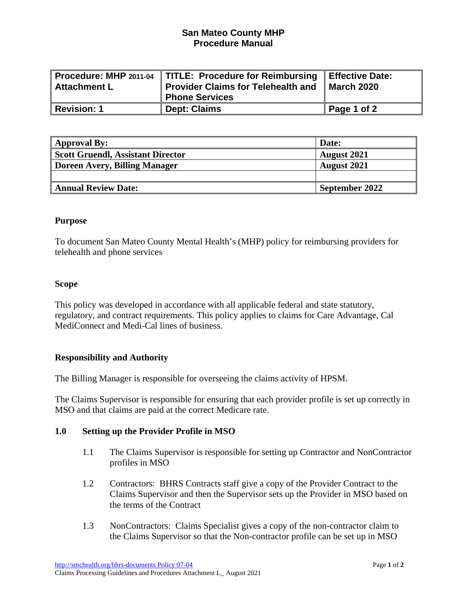# **San Mateo County MHP Procedure Manual**

| Attachment L     | Procedure: MHP 2011-04   TITLE: Procedure for Reimbursing<br>Provider Claims for Telehealth and | Effective Date:<br><b>I</b> March 2020 |
|------------------|-------------------------------------------------------------------------------------------------|----------------------------------------|
|                  | <b>Phone Services</b>                                                                           |                                        |
| $\,$ Revision: 1 | <b>Dept: Claims</b>                                                                             | Page 1 of 2                            |

| <b>Approval By:</b>                      | Date:              |
|------------------------------------------|--------------------|
| <b>Scott Gruendl, Assistant Director</b> | <b>August 2021</b> |
| Doreen Avery, Billing Manager            | <b>August 2021</b> |
|                                          |                    |
| <b>Annual Review Date:</b>               | September 2022     |

#### **Purpose**

To document San Mateo County Mental Health's (MHP) policy for reimbursing providers for telehealth and phone services

#### **Scope**

This policy was developed in accordance with all applicable federal and state statutory, regulatory, and contract requirements. This policy applies to claims for Care Advantage, Cal MediConnect and Medi-Cal lines of business.

### **Responsibility and Authority**

The Billing Manager is responsible for overseeing the claims activity of HPSM.

The Claims Supervisor is responsible for ensuring that each provider profile is set up correctly in MSO and that claims are paid at the correct Medicare rate.

### **1.0 Setting up the Provider Profile in MSO**

- 1.1 The Claims Supervisor is responsible for setting up Contractor and NonContractor profiles in MSO
- 1.2 Contractors: BHRS Contracts staff give a copy of the Provider Contract to the Claims Supervisor and then the Supervisor sets up the Provider in MSO based on the terms of the Contract
- 1.3 NonContractors: Claims Specialist gives a copy of the non-contractor claim to the Claims Supervisor so that the Non-contractor profile can be set up in MSO